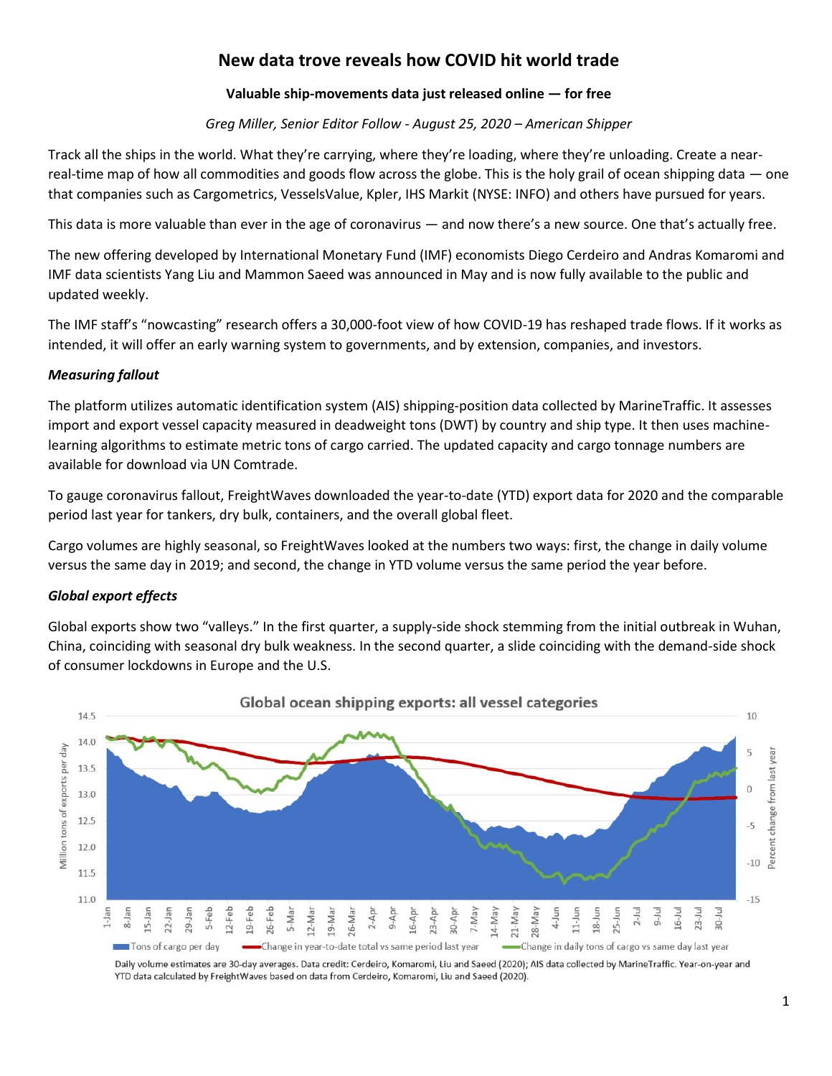# **New data trove reveals how COVID hit world trade**

# **Valuable ship-movements data just released online — for free**

*Greg Miller, Senior Editor Follow - August 25, 2020 – American Shipper*

Track all the ships in the world. What they're carrying, where they're loading, where they're unloading. Create a nearreal-time map of how all commodities and goods flow across the globe. This is the holy grail of ocean shipping data — one that companies such as Cargometrics, VesselsValue, Kpler, IHS Markit (NYSE: INFO) and others have pursued for years.

This data is more valuable than ever in the age of coronavirus — and now there's a new source. One that's actually free.

The new offering developed by International Monetary Fund (IMF) economists Diego Cerdeiro and Andras Komaromi and IMF data scientists Yang Liu and Mammon Saeed was announced in May and is now fully available to the public and updated weekly.

The IMF staff's "nowcasting" research offers a 30,000-foot view of how COVID-19 has reshaped trade flows. If it works as intended, it will offer an early warning system to governments, and by extension, companies, and investors.

## *Measuring fallout*

The platform utilizes automatic identification system (AIS) shipping-position data collected by MarineTraffic. It assesses import and export vessel capacity measured in deadweight tons (DWT) by country and ship type. It then uses machinelearning algorithms to estimate metric tons of cargo carried. The updated capacity and cargo tonnage numbers are available for download via UN Comtrade.

To gauge coronavirus fallout, FreightWaves downloaded the year-to-date (YTD) export data for 2020 and the comparable period last year for tankers, dry bulk, containers, and the overall global fleet.

Cargo volumes are highly seasonal, so FreightWaves looked at the numbers two ways: first, the change in daily volume versus the same day in 2019; and second, the change in YTD volume versus the same period the year before.

## *Global export effects*

Global exports show two "valleys." In the first quarter, a supply-side shock stemming from the initial outbreak in Wuhan, China, coinciding with seasonal dry bulk weakness. In the second quarter, a slide coinciding with the demand-side shock of consumer lockdowns in Europe and the U.S.



Daily volume estimates are 30-day averages. Data credit: Cerdeiro, Komaromi, Liu and Saeed (2020); AIS data collected by MarineTraffic. Year-on-year and YTD data calculated by FreightWaves based on data from Cerdeiro, Komaromi, Liu and Saeed (2020).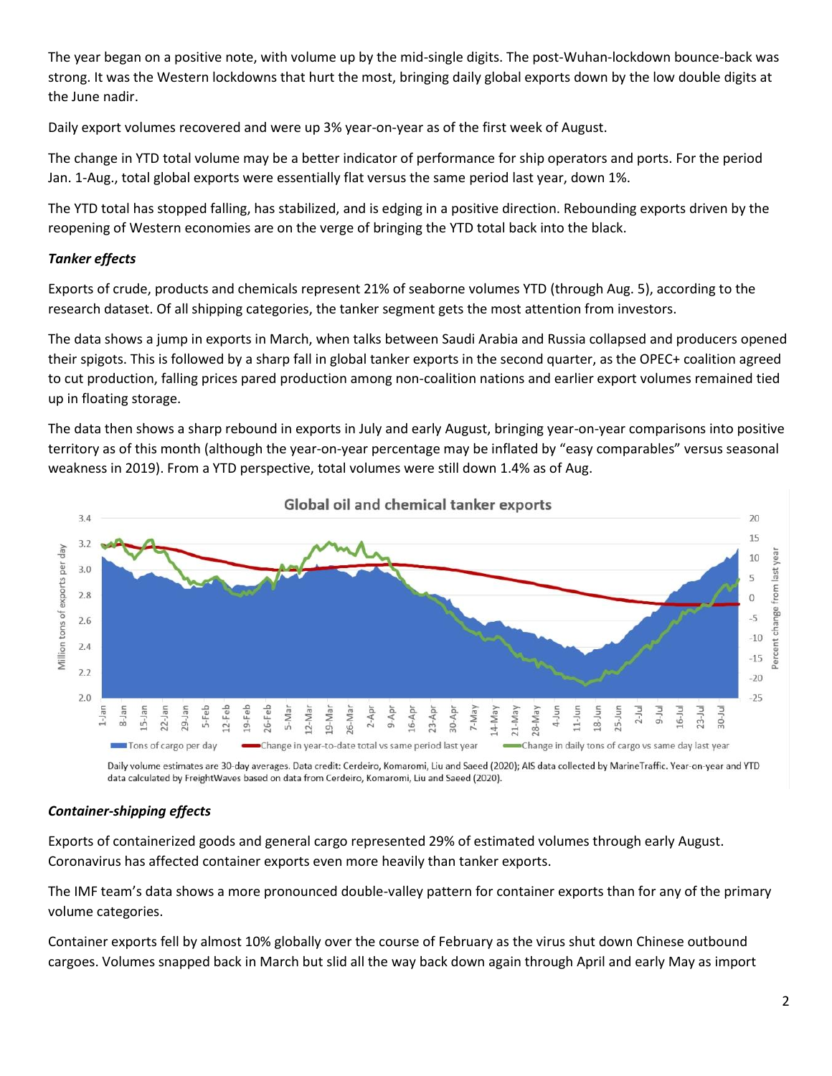The year began on a positive note, with volume up by the mid-single digits. The post-Wuhan-lockdown bounce-back was strong. It was the Western lockdowns that hurt the most, bringing daily global exports down by the low double digits at the June nadir.

Daily export volumes recovered and were up 3% year-on-year as of the first week of August.

The change in YTD total volume may be a better indicator of performance for ship operators and ports. For the period Jan. 1-Aug., total global exports were essentially flat versus the same period last year, down 1%.

The YTD total has stopped falling, has stabilized, and is edging in a positive direction. Rebounding exports driven by the reopening of Western economies are on the verge of bringing the YTD total back into the black.

# *Tanker effects*

Exports of crude, products and chemicals represent 21% of seaborne volumes YTD (through Aug. 5), according to the research dataset. Of all shipping categories, the tanker segment gets the most attention from investors.

The data shows a jump in exports in March, when talks between Saudi Arabia and Russia collapsed and producers opened their spigots. This is followed by a sharp fall in global tanker exports in the second quarter, as the OPEC+ coalition agreed to cut production, falling prices pared production among non-coalition nations and earlier export volumes remained tied up in floating storage.

The data then shows a sharp rebound in exports in July and early August, bringing year-on-year comparisons into positive territory as of this month (although the year-on-year percentage may be inflated by "easy comparables" versus seasonal weakness in 2019). From a YTD perspective, total volumes were still down 1.4% as of Aug.



Daily volume estimates are 30-day averages. Data credit: Cerdeiro, Komaromi, Liu and Saeed (2020); AIS data collected by MarineTraffic. Year-on-year and YTD data calculated by FreightWaves based on data from Cerdeiro, Komaromi, Liu and Saeed (2020).

# *Container-shipping effects*

Exports of containerized goods and general cargo represented 29% of estimated volumes through early August. Coronavirus has affected container exports even more heavily than tanker exports.

The IMF team's data shows a more pronounced double-valley pattern for container exports than for any of the primary volume categories.

Container exports fell by almost 10% globally over the course of February as the virus shut down Chinese outbound cargoes. Volumes snapped back in March but slid all the way back down again through April and early May as import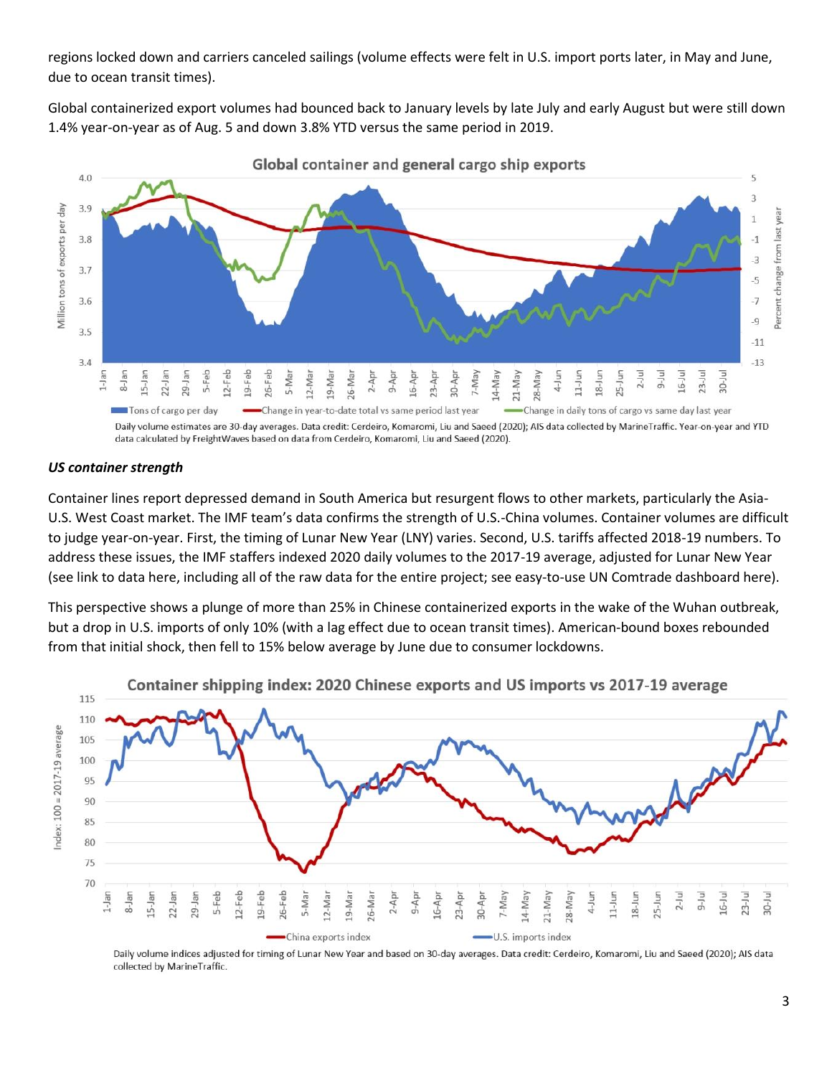regions locked down and carriers canceled sailings (volume effects were felt in U.S. import ports later, in May and June, due to ocean transit times).

Global containerized export volumes had bounced back to January levels by late July and early August but were still down 1.4% year-on-year as of Aug. 5 and down 3.8% YTD versus the same period in 2019.



Global container and general cargo ship exports

Daily volume estimates are 30-day averages. Data credit: Cerdeiro, Komaromi, Liu and Saeed (2020); AIS data collected by MarineTraffic. Year-on-year and YTD data calculated by FreightWaves based on data from Cerdeiro, Komaromi, Liu and Saeed (2020).

#### *US container strength*

Container lines report depressed demand in South America but resurgent flows to other markets, particularly the Asia-U.S. West Coast market. The IMF team's data confirms the strength of U.S.-China volumes. Container volumes are difficult to judge year-on-year. First, the timing of Lunar New Year (LNY) varies. Second, U.S. tariffs affected 2018-19 numbers. To address these issues, the IMF staffers indexed 2020 daily volumes to the 2017-19 average, adjusted for Lunar New Year (see link to data here, including all of the raw data for the entire project; see easy-to-use UN Comtrade dashboard here).

This perspective shows a plunge of more than 25% in Chinese containerized exports in the wake of the Wuhan outbreak, but a drop in U.S. imports of only 10% (with a lag effect due to ocean transit times). American-bound boxes rebounded from that initial shock, then fell to 15% below average by June due to consumer lockdowns.



Container shipping index: 2020 Chinese exports and US imports vs 2017-19 average

Daily volume indices adjusted for timing of Lunar New Year and based on 30-day averages. Data credit: Cerdeiro, Komaromi, Liu and Saeed (2020); AIS data collected by MarineTraffic.